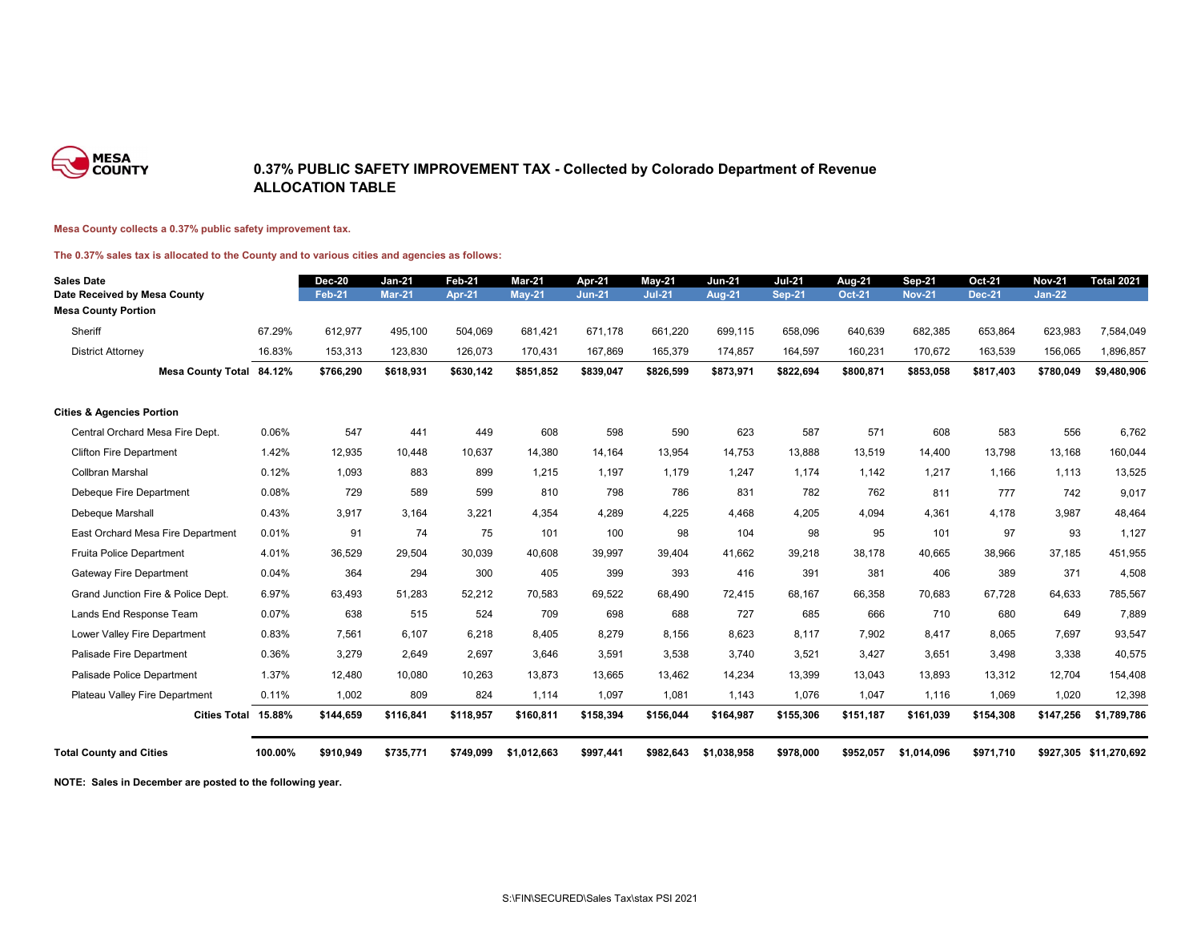

### **0.37% PUBLIC SAFETY IMPROVEMENT TAX - Collected by Colorado Department of Revenue ALLOCATION TABLE**

#### **Mesa County collects a 0.37% public safety improvement tax.**

### **The 0.37% sales tax is allocated to the County and to various cities and agencies as follows:**

| <b>Sales Date</b>                    |         | <b>Dec-20</b> | <b>Jan-21</b> | <b>Feb-21</b> | <b>Mar-21</b> | Apr-21        | <b>May-21</b> | <b>Jun-21</b> | <b>Jul-21</b> | <b>Aug-21</b> | <b>Sep-21</b> | <b>Oct-21</b> | <b>Nov-21</b> | <b>Total 2021</b>      |
|--------------------------------------|---------|---------------|---------------|---------------|---------------|---------------|---------------|---------------|---------------|---------------|---------------|---------------|---------------|------------------------|
| Date Received by Mesa County         |         | <b>Feb-21</b> | <b>Mar-21</b> | <b>Apr-21</b> | <b>May-21</b> | <b>Jun-21</b> | <b>Jul-21</b> | <b>Aug-21</b> | <b>Sep-21</b> | <b>Oct-21</b> | <b>Nov-21</b> | <b>Dec-21</b> | <b>Jan-22</b> |                        |
| <b>Mesa County Portion</b>           |         |               |               |               |               |               |               |               |               |               |               |               |               |                        |
| Sheriff                              | 67.29%  | 612,977       | 495,100       | 504,069       | 681,421       | 671,178       | 661,220       | 699,115       | 658,096       | 640,639       | 682,385       | 653,864       | 623,983       | 7,584,049              |
| <b>District Attorney</b>             | 16.83%  | 153,313       | 123,830       | 126,073       | 170,431       | 167,869       | 165,379       | 174,857       | 164,597       | 160,231       | 170,672       | 163,539       | 156,065       | 1,896,857              |
| Mesa County Total 84.12%             |         | \$766,290     | \$618,931     | \$630,142     | \$851,852     | \$839,047     | \$826,599     | \$873,971     | \$822,694     | \$800,871     | \$853,058     | \$817,403     | \$780,049     | \$9,480,906            |
| <b>Cities &amp; Agencies Portion</b> |         |               |               |               |               |               |               |               |               |               |               |               |               |                        |
| Central Orchard Mesa Fire Dept.      | 0.06%   | 547           | 441           | 449           | 608           | 598           | 590           | 623           | 587           | 571           | 608           | 583           | 556           | 6,762                  |
| <b>Clifton Fire Department</b>       | 1.42%   | 12,935        | 10,448        | 10,637        | 14,380        | 14,164        | 13,954        | 14,753        | 13,888        | 13,519        | 14,400        | 13,798        | 13,168        | 160,044                |
| Collbran Marshal                     | 0.12%   | 1,093         | 883           | 899           | 1,215         | 1,197         | 1,179         | 1,247         | 1,174         | 1,142         | 1,217         | 1,166         | 1,113         | 13,525                 |
| Debeque Fire Department              | 0.08%   | 729           | 589           | 599           | 810           | 798           | 786           | 831           | 782           | 762           | 811           | 777           | 742           | 9,017                  |
| Debeque Marshall                     | 0.43%   | 3,917         | 3,164         | 3,221         | 4,354         | 4,289         | 4,225         | 4,468         | 4,205         | 4,094         | 4,361         | 4,178         | 3,987         | 48,464                 |
| East Orchard Mesa Fire Department    | 0.01%   | 91            | 74            | 75            | 101           | 100           | 98            | 104           | 98            | 95            | 101           | 97            | 93            | 1,127                  |
| <b>Fruita Police Department</b>      | 4.01%   | 36,529        | 29,504        | 30,039        | 40,608        | 39,997        | 39,404        | 41,662        | 39,218        | 38,178        | 40,665        | 38,966        | 37,185        | 451,955                |
| <b>Gateway Fire Department</b>       | 0.04%   | 364           | 294           | 300           | 405           | 399           | 393           | 416           | 391           | 381           | 406           | 389           | 371           | 4,508                  |
| Grand Junction Fire & Police Dept.   | 6.97%   | 63,493        | 51,283        | 52,212        | 70,583        | 69,522        | 68,490        | 72,415        | 68,167        | 66,358        | 70,683        | 67,728        | 64,633        | 785,567                |
| Lands End Response Team              | 0.07%   | 638           | 515           | 524           | 709           | 698           | 688           | 727           | 685           | 666           | 710           | 680           | 649           | 7,889                  |
| Lower Valley Fire Department         | 0.83%   | 7,561         | 6,107         | 6,218         | 8,405         | 8,279         | 8,156         | 8,623         | 8,117         | 7,902         | 8,417         | 8,065         | 7,697         | 93,547                 |
| Palisade Fire Department             | 0.36%   | 3,279         | 2,649         | 2,697         | 3,646         | 3,591         | 3,538         | 3,740         | 3,521         | 3,427         | 3,651         | 3,498         | 3,338         | 40,575                 |
| Palisade Police Department           | 1.37%   | 12,480        | 10,080        | 10,263        | 13,873        | 13,665        | 13,462        | 14,234        | 13,399        | 13,043        | 13,893        | 13,312        | 12,704        | 154,408                |
| Plateau Valley Fire Department       | 0.11%   | 1,002         | 809           | 824           | 1,114         | 1,097         | 1,081         | 1,143         | 1,076         | 1,047         | 1,116         | 1,069         | 1,020         | 12,398                 |
| Cities Total 15.88%                  |         | \$144,659     | \$116,841     | \$118,957     | \$160,811     | \$158,394     | \$156,044     | \$164,987     | \$155,306     | \$151,187     | \$161,039     | \$154,308     | \$147,256     | \$1,789,786            |
| <b>Total County and Cities</b>       | 100.00% | \$910,949     | \$735,771     | \$749,099     | \$1,012,663   | \$997,441     | \$982,643     | \$1,038,958   | \$978,000     | \$952,057     | \$1,014,096   | \$971,710     |               | \$927,305 \$11,270,692 |

**NOTE: Sales in December are posted to the following year.**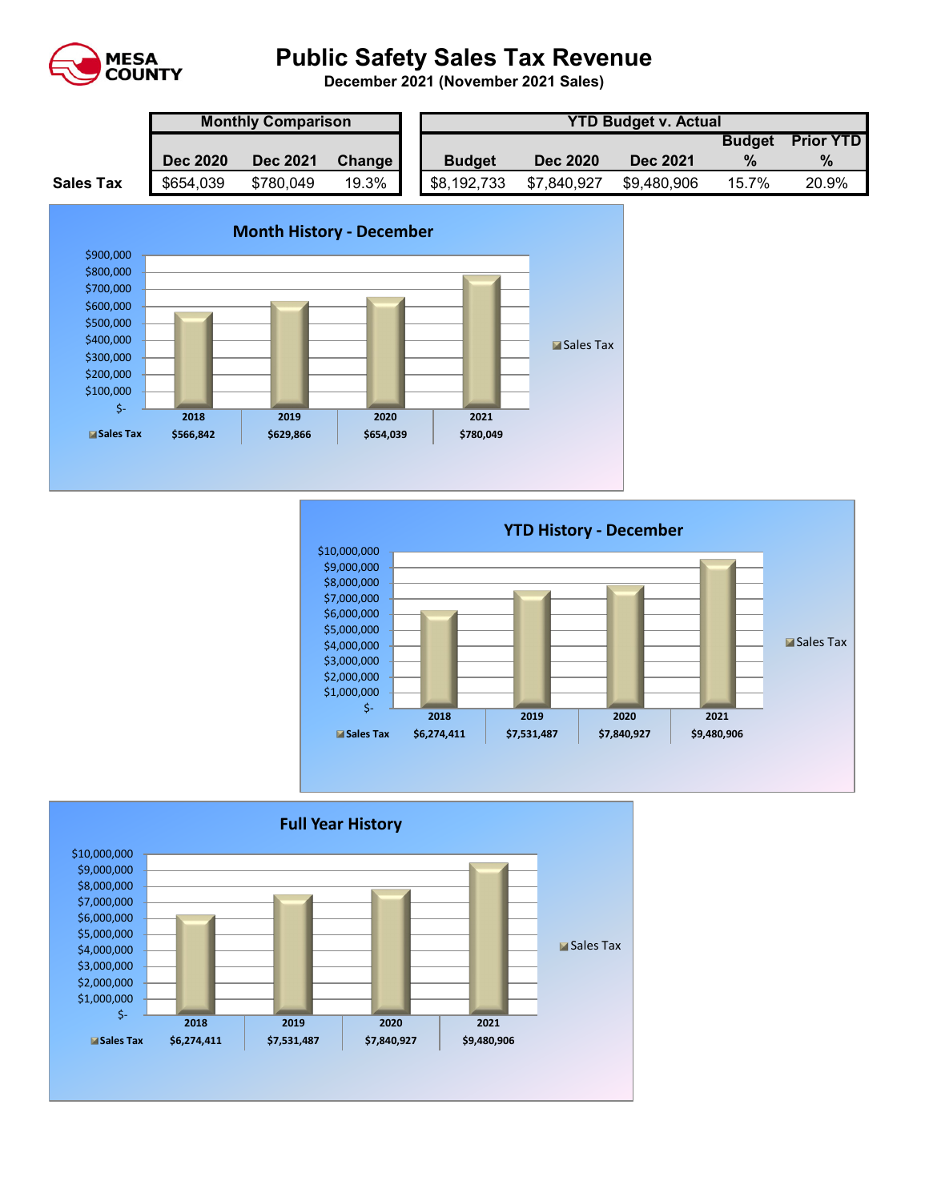

# **Public Safety Sales Tax Revenue**

**December 2021 (November 2021 Sales)** 

|                  | <b>Monthly Comparison</b> |                 |        |  | <b>YTD Budget v. Actual</b> |                 |                 |               |                  |  |  |
|------------------|---------------------------|-----------------|--------|--|-----------------------------|-----------------|-----------------|---------------|------------------|--|--|
|                  |                           |                 |        |  |                             |                 |                 | <b>Budget</b> | <b>Prior YTD</b> |  |  |
|                  | <b>Dec 2020</b>           | <b>Dec 2021</b> | Change |  | <b>Budget</b>               | <b>Dec 2020</b> | <b>Dec 2021</b> |               | $\%$             |  |  |
| <b>Sales Tax</b> | \$654,039                 | \$780,049       | 19.3%  |  | \$8,192,733                 | \$7,840,927     | \$9,480,906     | 15.7%         | 20.9%            |  |  |